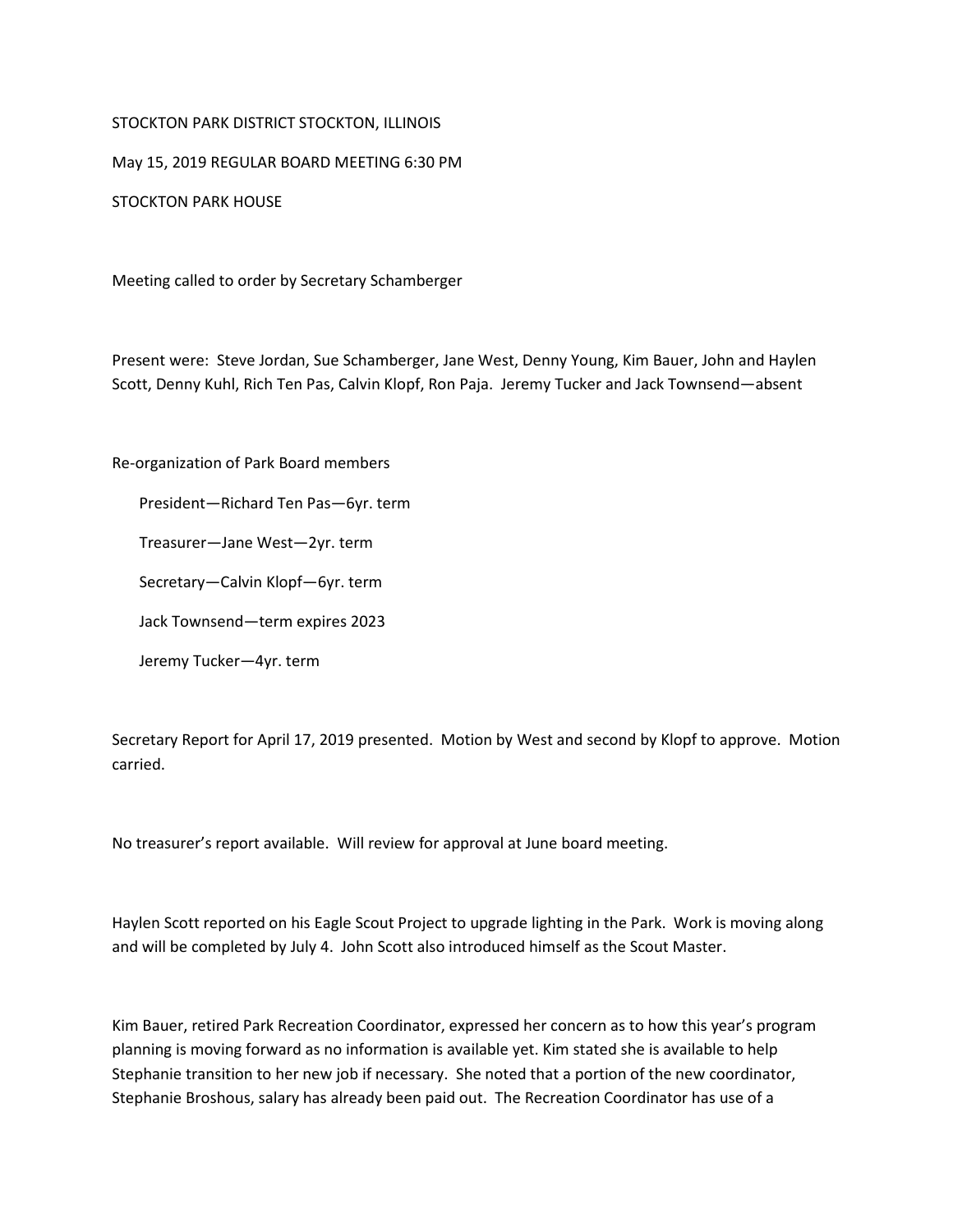## STOCKTON PARK DISTRICT STOCKTON, ILLINOIS

May 15, 2019 REGULAR BOARD MEETING 6:30 PM

STOCKTON PARK HOUSE

Meeting called to order by Secretary Schamberger

Present were: Steve Jordan, Sue Schamberger, Jane West, Denny Young, Kim Bauer, John and Haylen Scott, Denny Kuhl, Rich Ten Pas, Calvin Klopf, Ron Paja. Jeremy Tucker and Jack Townsend—absent

Re-organization of Park Board members

President—Richard Ten Pas—6yr. term

Treasurer—Jane West—2yr. term

Secretary—Calvin Klopf—6yr. term

Jack Townsend—term expires 2023

Jeremy Tucker—4yr. term

Secretary Report for April 17, 2019 presented. Motion by West and second by Klopf to approve. Motion carried.

No treasurer's report available. Will review for approval at June board meeting.

Haylen Scott reported on his Eagle Scout Project to upgrade lighting in the Park. Work is moving along and will be completed by July 4. John Scott also introduced himself as the Scout Master.

Kim Bauer, retired Park Recreation Coordinator, expressed her concern as to how this year's program planning is moving forward as no information is available yet. Kim stated she is available to help Stephanie transition to her new job if necessary. She noted that a portion of the new coordinator, Stephanie Broshous, salary has already been paid out. The Recreation Coordinator has use of a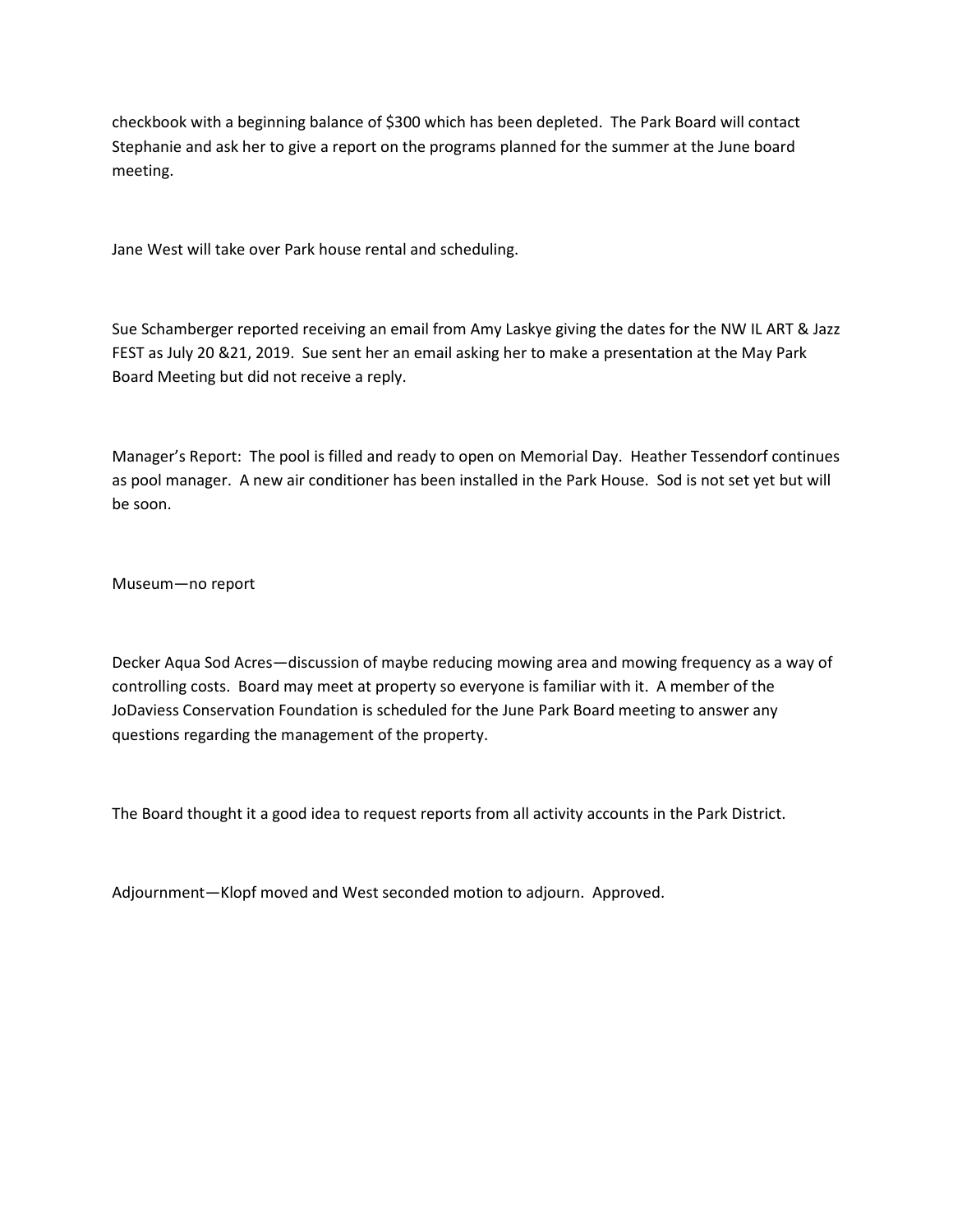checkbook with a beginning balance of \$300 which has been depleted. The Park Board will contact Stephanie and ask her to give a report on the programs planned for the summer at the June board meeting.

Jane West will take over Park house rental and scheduling.

Sue Schamberger reported receiving an email from Amy Laskye giving the dates for the NW IL ART & Jazz FEST as July 20 &21, 2019. Sue sent her an email asking her to make a presentation at the May Park Board Meeting but did not receive a reply.

Manager's Report: The pool is filled and ready to open on Memorial Day. Heather Tessendorf continues as pool manager. A new air conditioner has been installed in the Park House. Sod is not set yet but will be soon.

Museum—no report

Decker Aqua Sod Acres—discussion of maybe reducing mowing area and mowing frequency as a way of controlling costs. Board may meet at property so everyone is familiar with it. A member of the JoDaviess Conservation Foundation is scheduled for the June Park Board meeting to answer any questions regarding the management of the property.

The Board thought it a good idea to request reports from all activity accounts in the Park District.

Adjournment—Klopf moved and West seconded motion to adjourn. Approved.